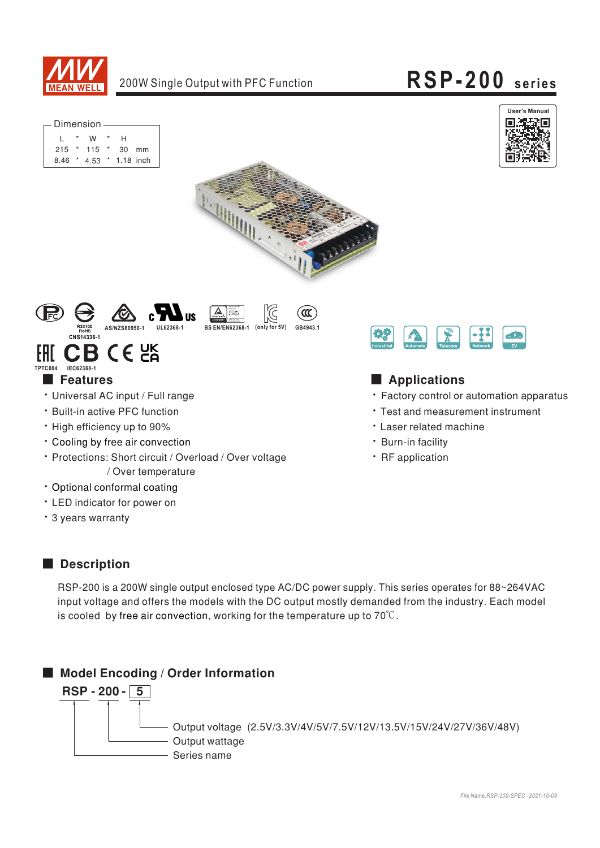

<u>A</u> lisherbet<br>Sepatra Maye<br>Setrahid ang

**BS EN/EN62368-1** 

# RSP-200 series







 $\infty$ 

GB4943.1



#### CB CE 2K FHT TPTC004 IEC62368-1

#### **Features**

- · Universal AC input / Full range
- · Built-in active PFC function
- High efficiency up to 90%
- \* Cooling by free air convection
- \* Protections: Short circuit / Overload / Over voltage / Over temperature
- · Optional conformal coating
- LED indicator for power on
- \* 3 years warranty



## Applications

- Factory control or automation apparatus
- Test and measurement instrument
- **· Laser related machine**
- · Burn-in facility
- · RF application

### Description

RSP-200 is a 200W single output enclosed type AC/DC power supply. This series operates for 88~264VAC input voltage and offers the models with the DC output mostly demanded from the industry. Each model is cooled by free air convection, working for the temperature up to  $70^{\circ}$ C.

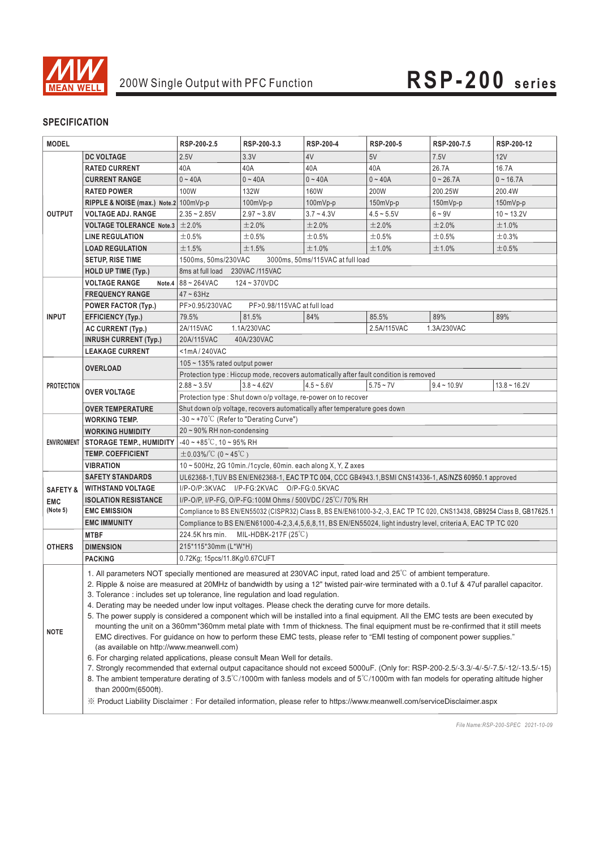

#### **SPECIFICATION**

| <b>MODEL</b>        |                                                                                                                                                                                                                                                                                                                                                                                                                                                                                                                                                                                                                                                                                                                                                                                                                                                                                                                                                                                                                                                                                                                                                                                                                                                                                                                                                                                                                                                                 | RSP-200-2.5                                                                                                             | RSP-200-3.3                 | RSP-200-4    | RSP-200-5                                                                              | RSP-200-7.5   | RSP-200-12     |  |  |  |
|---------------------|-----------------------------------------------------------------------------------------------------------------------------------------------------------------------------------------------------------------------------------------------------------------------------------------------------------------------------------------------------------------------------------------------------------------------------------------------------------------------------------------------------------------------------------------------------------------------------------------------------------------------------------------------------------------------------------------------------------------------------------------------------------------------------------------------------------------------------------------------------------------------------------------------------------------------------------------------------------------------------------------------------------------------------------------------------------------------------------------------------------------------------------------------------------------------------------------------------------------------------------------------------------------------------------------------------------------------------------------------------------------------------------------------------------------------------------------------------------------|-------------------------------------------------------------------------------------------------------------------------|-----------------------------|--------------|----------------------------------------------------------------------------------------|---------------|----------------|--|--|--|
|                     | <b>DC VOLTAGE</b>                                                                                                                                                                                                                                                                                                                                                                                                                                                                                                                                                                                                                                                                                                                                                                                                                                                                                                                                                                                                                                                                                                                                                                                                                                                                                                                                                                                                                                               | 2.5V                                                                                                                    | 3.3V                        | 4V           | 5V                                                                                     | 7.5V          | 12V            |  |  |  |
| <b>OUTPUT</b>       | <b>RATED CURRENT</b>                                                                                                                                                                                                                                                                                                                                                                                                                                                                                                                                                                                                                                                                                                                                                                                                                                                                                                                                                                                                                                                                                                                                                                                                                                                                                                                                                                                                                                            | 40A                                                                                                                     | 40A                         | 40A          | 40A                                                                                    | 26.7A         | 16.7A          |  |  |  |
|                     | <b>CURRENT RANGE</b>                                                                                                                                                                                                                                                                                                                                                                                                                                                                                                                                                                                                                                                                                                                                                                                                                                                                                                                                                                                                                                                                                                                                                                                                                                                                                                                                                                                                                                            | $0 - 40A$                                                                                                               | $0 - 40A$                   | $0 - 40A$    | $0 - 40A$                                                                              | $0 - 26.7A$   | $0 - 16.7A$    |  |  |  |
|                     | <b>RATED POWER</b>                                                                                                                                                                                                                                                                                                                                                                                                                                                                                                                                                                                                                                                                                                                                                                                                                                                                                                                                                                                                                                                                                                                                                                                                                                                                                                                                                                                                                                              | 100W                                                                                                                    | <b>132W</b>                 | 160W         | 200W                                                                                   | 200.25W       | 200.4W         |  |  |  |
|                     | RIPPLE & NOISE (max.) Note.2 100mVp-p                                                                                                                                                                                                                                                                                                                                                                                                                                                                                                                                                                                                                                                                                                                                                                                                                                                                                                                                                                                                                                                                                                                                                                                                                                                                                                                                                                                                                           |                                                                                                                         | $100mVp-p$                  | 100mVp-p     | 150mVp-p                                                                               | 150mVp-p      | 150mVp-p       |  |  |  |
|                     | <b>VOLTAGE ADJ. RANGE</b>                                                                                                                                                                                                                                                                                                                                                                                                                                                                                                                                                                                                                                                                                                                                                                                                                                                                                                                                                                                                                                                                                                                                                                                                                                                                                                                                                                                                                                       | $2.35 - 2.85V$                                                                                                          | $2.97 - 3.8V$               | $3.7 - 4.3V$ | $4.5 - 5.5V$                                                                           | $6 - 9V$      | $10 - 13.2V$   |  |  |  |
|                     | VOLTAGE TOLERANCE Note.3 $\pm$ 2.0%                                                                                                                                                                                                                                                                                                                                                                                                                                                                                                                                                                                                                                                                                                                                                                                                                                                                                                                                                                                                                                                                                                                                                                                                                                                                                                                                                                                                                             |                                                                                                                         | ±2.0%                       | ±2.0%        | ±2.0%                                                                                  | ±2.0%         | ±1.0%          |  |  |  |
|                     | <b>LINE REGULATION</b>                                                                                                                                                                                                                                                                                                                                                                                                                                                                                                                                                                                                                                                                                                                                                                                                                                                                                                                                                                                                                                                                                                                                                                                                                                                                                                                                                                                                                                          | ±0.5%                                                                                                                   | $\pm 0.5\%$                 | $\pm 0.5\%$  | ±0.5%                                                                                  | $\pm 0.5\%$   | $\pm$ 0.3%     |  |  |  |
|                     | <b>LOAD REGULATION</b>                                                                                                                                                                                                                                                                                                                                                                                                                                                                                                                                                                                                                                                                                                                                                                                                                                                                                                                                                                                                                                                                                                                                                                                                                                                                                                                                                                                                                                          | ±1.5%                                                                                                                   | ±1.5%                       | ±1.0%        | ±1.0%                                                                                  | ±1.0%         | ±0.5%          |  |  |  |
|                     | <b>SETUP, RISE TIME</b>                                                                                                                                                                                                                                                                                                                                                                                                                                                                                                                                                                                                                                                                                                                                                                                                                                                                                                                                                                                                                                                                                                                                                                                                                                                                                                                                                                                                                                         | 1500ms, 50ms/230VAC<br>3000ms, 50ms/115VAC at full load                                                                 |                             |              |                                                                                        |               |                |  |  |  |
|                     | HOLD UP TIME (Typ.)                                                                                                                                                                                                                                                                                                                                                                                                                                                                                                                                                                                                                                                                                                                                                                                                                                                                                                                                                                                                                                                                                                                                                                                                                                                                                                                                                                                                                                             | 8ms at full load 230VAC /115VAC                                                                                         |                             |              |                                                                                        |               |                |  |  |  |
|                     | <b>VOLTAGE RANGE</b><br>Note.4                                                                                                                                                                                                                                                                                                                                                                                                                                                                                                                                                                                                                                                                                                                                                                                                                                                                                                                                                                                                                                                                                                                                                                                                                                                                                                                                                                                                                                  | 88~264VAC<br>$124 - 370VDC$                                                                                             |                             |              |                                                                                        |               |                |  |  |  |
|                     | <b>FREQUENCY RANGE</b>                                                                                                                                                                                                                                                                                                                                                                                                                                                                                                                                                                                                                                                                                                                                                                                                                                                                                                                                                                                                                                                                                                                                                                                                                                                                                                                                                                                                                                          | $47 - 63$ Hz                                                                                                            |                             |              |                                                                                        |               |                |  |  |  |
|                     | <b>POWER FACTOR (Typ.)</b>                                                                                                                                                                                                                                                                                                                                                                                                                                                                                                                                                                                                                                                                                                                                                                                                                                                                                                                                                                                                                                                                                                                                                                                                                                                                                                                                                                                                                                      | PF>0.95/230VAC                                                                                                          | PF>0.98/115VAC at full load |              |                                                                                        |               |                |  |  |  |
| <b>INPUT</b>        | <b>EFFICIENCY (Typ.)</b>                                                                                                                                                                                                                                                                                                                                                                                                                                                                                                                                                                                                                                                                                                                                                                                                                                                                                                                                                                                                                                                                                                                                                                                                                                                                                                                                                                                                                                        | 79.5%                                                                                                                   | 81.5%                       | 84%          | 85.5%                                                                                  | 89%           | 89%            |  |  |  |
|                     | <b>AC CURRENT (Typ.)</b>                                                                                                                                                                                                                                                                                                                                                                                                                                                                                                                                                                                                                                                                                                                                                                                                                                                                                                                                                                                                                                                                                                                                                                                                                                                                                                                                                                                                                                        | 2A/115VAC                                                                                                               | 1.1A/230VAC                 |              | 2.5A/115VAC                                                                            | 1.3A/230VAC   |                |  |  |  |
|                     | <b>INRUSH CURRENT (Typ.)</b>                                                                                                                                                                                                                                                                                                                                                                                                                                                                                                                                                                                                                                                                                                                                                                                                                                                                                                                                                                                                                                                                                                                                                                                                                                                                                                                                                                                                                                    | 20A/115VAC<br>40A/230VAC                                                                                                |                             |              |                                                                                        |               |                |  |  |  |
|                     | <b>LEAKAGE CURRENT</b>                                                                                                                                                                                                                                                                                                                                                                                                                                                                                                                                                                                                                                                                                                                                                                                                                                                                                                                                                                                                                                                                                                                                                                                                                                                                                                                                                                                                                                          | <1mA/240VAC                                                                                                             |                             |              |                                                                                        |               |                |  |  |  |
| <b>PROTECTION</b>   | <b>OVERLOAD</b>                                                                                                                                                                                                                                                                                                                                                                                                                                                                                                                                                                                                                                                                                                                                                                                                                                                                                                                                                                                                                                                                                                                                                                                                                                                                                                                                                                                                                                                 | 105 $\sim$ 135% rated output power                                                                                      |                             |              |                                                                                        |               |                |  |  |  |
|                     |                                                                                                                                                                                                                                                                                                                                                                                                                                                                                                                                                                                                                                                                                                                                                                                                                                                                                                                                                                                                                                                                                                                                                                                                                                                                                                                                                                                                                                                                 |                                                                                                                         |                             |              | Protection type : Hiccup mode, recovers automatically after fault condition is removed |               |                |  |  |  |
|                     |                                                                                                                                                                                                                                                                                                                                                                                                                                                                                                                                                                                                                                                                                                                                                                                                                                                                                                                                                                                                                                                                                                                                                                                                                                                                                                                                                                                                                                                                 | $2.88 - 3.5V$                                                                                                           | $3.8 - 4.62V$               | $4.5 - 5.6V$ | $5.75 - 7V$                                                                            | $9.4 - 10.9V$ | $13.8 - 16.2V$ |  |  |  |
|                     | <b>OVER VOLTAGE</b>                                                                                                                                                                                                                                                                                                                                                                                                                                                                                                                                                                                                                                                                                                                                                                                                                                                                                                                                                                                                                                                                                                                                                                                                                                                                                                                                                                                                                                             | Protection type : Shut down o/p voltage, re-power on to recover                                                         |                             |              |                                                                                        |               |                |  |  |  |
|                     | <b>OVER TEMPERATURE</b>                                                                                                                                                                                                                                                                                                                                                                                                                                                                                                                                                                                                                                                                                                                                                                                                                                                                                                                                                                                                                                                                                                                                                                                                                                                                                                                                                                                                                                         | Shut down o/p voltage, recovers automatically after temperature goes down                                               |                             |              |                                                                                        |               |                |  |  |  |
| <b>ENVIRONMENT</b>  | <b>WORKING TEMP.</b>                                                                                                                                                                                                                                                                                                                                                                                                                                                                                                                                                                                                                                                                                                                                                                                                                                                                                                                                                                                                                                                                                                                                                                                                                                                                                                                                                                                                                                            | $-30 \sim +70^{\circ}$ C (Refer to "Derating Curve")                                                                    |                             |              |                                                                                        |               |                |  |  |  |
|                     | <b>WORKING HUMIDITY</b>                                                                                                                                                                                                                                                                                                                                                                                                                                                                                                                                                                                                                                                                                                                                                                                                                                                                                                                                                                                                                                                                                                                                                                                                                                                                                                                                                                                                                                         | 20~90% RH non-condensing                                                                                                |                             |              |                                                                                        |               |                |  |  |  |
|                     | <b>STORAGE TEMP., HUMIDITY</b>                                                                                                                                                                                                                                                                                                                                                                                                                                                                                                                                                                                                                                                                                                                                                                                                                                                                                                                                                                                                                                                                                                                                                                                                                                                                                                                                                                                                                                  | $-40 \sim +85^{\circ}$ C, 10 ~ 95% RH                                                                                   |                             |              |                                                                                        |               |                |  |  |  |
|                     | <b>TEMP. COEFFICIENT</b>                                                                                                                                                                                                                                                                                                                                                                                                                                                                                                                                                                                                                                                                                                                                                                                                                                                                                                                                                                                                                                                                                                                                                                                                                                                                                                                                                                                                                                        | $\pm 0.03\%$ $^{\circ}$ C (0 ~ 45 $^{\circ}$ C)                                                                         |                             |              |                                                                                        |               |                |  |  |  |
|                     | <b>VIBRATION</b>                                                                                                                                                                                                                                                                                                                                                                                                                                                                                                                                                                                                                                                                                                                                                                                                                                                                                                                                                                                                                                                                                                                                                                                                                                                                                                                                                                                                                                                | 10~500Hz, 2G 10min./1cycle, 60min. each along X, Y, Z axes                                                              |                             |              |                                                                                        |               |                |  |  |  |
|                     | <b>SAFETY STANDARDS</b>                                                                                                                                                                                                                                                                                                                                                                                                                                                                                                                                                                                                                                                                                                                                                                                                                                                                                                                                                                                                                                                                                                                                                                                                                                                                                                                                                                                                                                         | UL62368-1, TUV BS EN/EN62368-1, EAC TP TC 004, CCC GB4943.1, BSMI CNS14336-1, AS/NZS 60950.1 approved                   |                             |              |                                                                                        |               |                |  |  |  |
| <b>SAFETY &amp;</b> | <b>WITHSTAND VOLTAGE</b>                                                                                                                                                                                                                                                                                                                                                                                                                                                                                                                                                                                                                                                                                                                                                                                                                                                                                                                                                                                                                                                                                                                                                                                                                                                                                                                                                                                                                                        | I/P-O/P:3KVAC I/P-FG:2KVAC O/P-FG:0.5KVAC                                                                               |                             |              |                                                                                        |               |                |  |  |  |
| <b>EMC</b>          | <b>ISOLATION RESISTANCE</b>                                                                                                                                                                                                                                                                                                                                                                                                                                                                                                                                                                                                                                                                                                                                                                                                                                                                                                                                                                                                                                                                                                                                                                                                                                                                                                                                                                                                                                     | I/P-O/P, I/P-FG, O/P-FG:100M Ohms / 500VDC / 25°C/70% RH                                                                |                             |              |                                                                                        |               |                |  |  |  |
| (Note 5)            | <b>EMC EMISSION</b>                                                                                                                                                                                                                                                                                                                                                                                                                                                                                                                                                                                                                                                                                                                                                                                                                                                                                                                                                                                                                                                                                                                                                                                                                                                                                                                                                                                                                                             | Compliance to BS EN/EN55032 (CISPR32) Class B, BS EN/EN61000-3-2,-3, EAC TP TC 020, CNS13438, GB9254 Class B, GB17625.1 |                             |              |                                                                                        |               |                |  |  |  |
|                     | <b>EMC IMMUNITY</b>                                                                                                                                                                                                                                                                                                                                                                                                                                                                                                                                                                                                                                                                                                                                                                                                                                                                                                                                                                                                                                                                                                                                                                                                                                                                                                                                                                                                                                             | Compliance to BS EN/EN61000-4-2,3,4,5,6,8,11, BS EN/EN55024, light industry level, criteria A, EAC TP TC 020            |                             |              |                                                                                        |               |                |  |  |  |
|                     | <b>MTBF</b>                                                                                                                                                                                                                                                                                                                                                                                                                                                                                                                                                                                                                                                                                                                                                                                                                                                                                                                                                                                                                                                                                                                                                                                                                                                                                                                                                                                                                                                     | 224.5K hrs min.<br>MIL-HDBK-217F (25°C)                                                                                 |                             |              |                                                                                        |               |                |  |  |  |
| <b>OTHERS</b>       | <b>DIMENSION</b>                                                                                                                                                                                                                                                                                                                                                                                                                                                                                                                                                                                                                                                                                                                                                                                                                                                                                                                                                                                                                                                                                                                                                                                                                                                                                                                                                                                                                                                | 215*115*30mm (L*W*H)                                                                                                    |                             |              |                                                                                        |               |                |  |  |  |
|                     | <b>PACKING</b>                                                                                                                                                                                                                                                                                                                                                                                                                                                                                                                                                                                                                                                                                                                                                                                                                                                                                                                                                                                                                                                                                                                                                                                                                                                                                                                                                                                                                                                  | 0.72Kg; 15pcs/11.8Kg/0.67CUFT                                                                                           |                             |              |                                                                                        |               |                |  |  |  |
| <b>NOTE</b>         | 1. All parameters NOT specially mentioned are measured at 230VAC input, rated load and 25°C of ambient temperature.<br>2. Ripple & noise are measured at 20MHz of bandwidth by using a 12" twisted pair-wire terminated with a 0.1uf & 47uf parallel capacitor.<br>3. Tolerance : includes set up tolerance, line regulation and load regulation.<br>4. Derating may be needed under low input voltages. Please check the derating curve for more details.<br>5. The power supply is considered a component which will be installed into a final equipment. All the EMC tests are been executed by<br>mounting the unit on a 360mm*360mm metal plate with 1mm of thickness. The final equipment must be re-confirmed that it still meets<br>EMC directives. For guidance on how to perform these EMC tests, please refer to "EMI testing of component power supplies."<br>(as available on http://www.meanwell.com)<br>6. For charging related applications, please consult Mean Well for details.<br>7. Strongly recommended that external output capacitance should not exceed 5000uF. (Only for: RSP-200-2.5/-3.3/-4/-5/-7.5/-12/-13.5/-15)<br>8. The ambient temperature derating of $3.5^{\circ}$ C/1000m with fanless models and of $5^{\circ}$ C/1000m with fan models for operating altitude higher<br>than 2000m(6500ft).<br>※ Product Liability Disclaimer: For detailed information, please refer to https://www.meanwell.com/serviceDisclaimer.aspx |                                                                                                                         |                             |              |                                                                                        |               |                |  |  |  |

*File Name:RSP-200-SPEC 2021-10-09*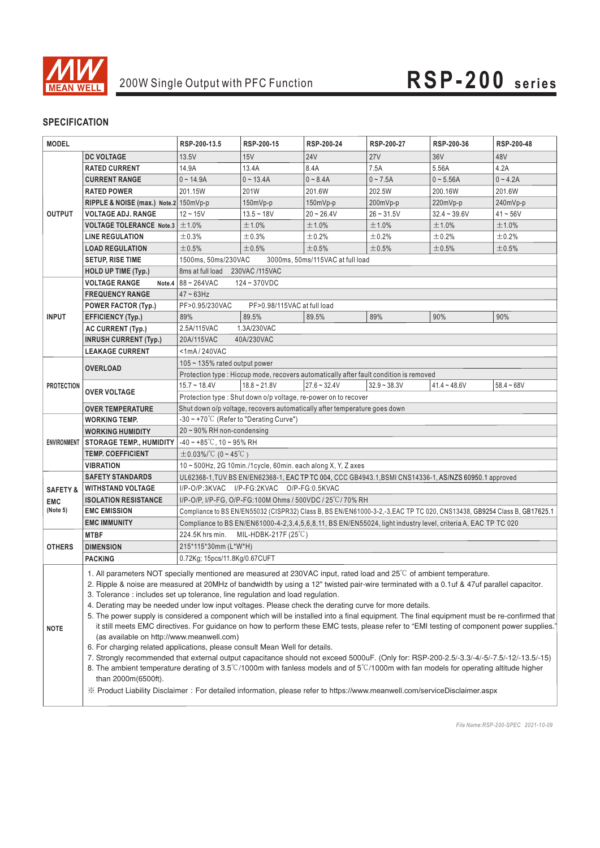

#### **SPECIFICATION**

| <b>MODEL</b>        |                                                                                                                                                                                                                                                                                                                                                                                                                                                                                                                                                                                                                                                                                                                                                                                                                                                                                                                                                                                                                                                                                                                                                                                                                                                                                                                                               | RSP-200-13.5                                                                                                            | RSP-200-15                                                     | RSP-200-24     | RSP-200-27     | RSP-200-36     | RSP-200-48   |  |  |  |
|---------------------|-----------------------------------------------------------------------------------------------------------------------------------------------------------------------------------------------------------------------------------------------------------------------------------------------------------------------------------------------------------------------------------------------------------------------------------------------------------------------------------------------------------------------------------------------------------------------------------------------------------------------------------------------------------------------------------------------------------------------------------------------------------------------------------------------------------------------------------------------------------------------------------------------------------------------------------------------------------------------------------------------------------------------------------------------------------------------------------------------------------------------------------------------------------------------------------------------------------------------------------------------------------------------------------------------------------------------------------------------|-------------------------------------------------------------------------------------------------------------------------|----------------------------------------------------------------|----------------|----------------|----------------|--------------|--|--|--|
|                     | <b>DC VOLTAGE</b>                                                                                                                                                                                                                                                                                                                                                                                                                                                                                                                                                                                                                                                                                                                                                                                                                                                                                                                                                                                                                                                                                                                                                                                                                                                                                                                             | 13.5V                                                                                                                   | 15V                                                            | <b>24V</b>     | 27V            | 36V            | 48V          |  |  |  |
| <b>OUTPUT</b>       | <b>RATED CURRENT</b>                                                                                                                                                                                                                                                                                                                                                                                                                                                                                                                                                                                                                                                                                                                                                                                                                                                                                                                                                                                                                                                                                                                                                                                                                                                                                                                          | 14.9A                                                                                                                   | 13.4A                                                          | 8.4A           | 7.5A           | 5.56A          | 4.2A         |  |  |  |
|                     | <b>CURRENT RANGE</b>                                                                                                                                                                                                                                                                                                                                                                                                                                                                                                                                                                                                                                                                                                                                                                                                                                                                                                                                                                                                                                                                                                                                                                                                                                                                                                                          | $0 - 14.9A$                                                                                                             | $0 - 13.4A$                                                    | $0 - 8.4A$     | $0 - 7.5A$     | $0 - 5.56A$    | $0 - 4.2A$   |  |  |  |
|                     | <b>RATED POWER</b>                                                                                                                                                                                                                                                                                                                                                                                                                                                                                                                                                                                                                                                                                                                                                                                                                                                                                                                                                                                                                                                                                                                                                                                                                                                                                                                            | 201.15W                                                                                                                 | 201W                                                           | 201.6W         | 202.5W         | 200.16W        | 201.6W       |  |  |  |
|                     | RIPPLE & NOISE (max.) Note.2 150mVp-p                                                                                                                                                                                                                                                                                                                                                                                                                                                                                                                                                                                                                                                                                                                                                                                                                                                                                                                                                                                                                                                                                                                                                                                                                                                                                                         |                                                                                                                         | 150mVp-p                                                       | 150mVp-p       | 200mVp-p       | 220mVp-p       | 240mVp-p     |  |  |  |
|                     | <b>VOLTAGE ADJ. RANGE</b>                                                                                                                                                                                                                                                                                                                                                                                                                                                                                                                                                                                                                                                                                                                                                                                                                                                                                                                                                                                                                                                                                                                                                                                                                                                                                                                     | $12 - 15V$                                                                                                              | $13.5 - 18V$                                                   | $20 - 26.4V$   | $26 - 31.5V$   | $32.4 - 39.6V$ | 41~56V       |  |  |  |
|                     | VOLTAGE TOLERANCE Note.3 $\pm$ 1.0%                                                                                                                                                                                                                                                                                                                                                                                                                                                                                                                                                                                                                                                                                                                                                                                                                                                                                                                                                                                                                                                                                                                                                                                                                                                                                                           |                                                                                                                         | ±1.0%                                                          | ±1.0%          | ±1.0%          | ±1.0%          | ±1.0%        |  |  |  |
|                     | <b>LINE REGULATION</b>                                                                                                                                                                                                                                                                                                                                                                                                                                                                                                                                                                                                                                                                                                                                                                                                                                                                                                                                                                                                                                                                                                                                                                                                                                                                                                                        | $\pm$ 0.3%                                                                                                              | ±0.3%                                                          | ±0.2%          | $\pm$ 0.2%     | ±0.2%          | ±0.2%        |  |  |  |
|                     | <b>LOAD REGULATION</b>                                                                                                                                                                                                                                                                                                                                                                                                                                                                                                                                                                                                                                                                                                                                                                                                                                                                                                                                                                                                                                                                                                                                                                                                                                                                                                                        | ±0.5%                                                                                                                   | ±0.5%                                                          | ±0.5%          | ±0.5%          | ±0.5%          | ±0.5%        |  |  |  |
|                     | <b>SETUP, RISE TIME</b>                                                                                                                                                                                                                                                                                                                                                                                                                                                                                                                                                                                                                                                                                                                                                                                                                                                                                                                                                                                                                                                                                                                                                                                                                                                                                                                       | 1500ms, 50ms/230VAC<br>3000ms, 50ms/115VAC at full load                                                                 |                                                                |                |                |                |              |  |  |  |
|                     | HOLD UP TIME (Typ.)                                                                                                                                                                                                                                                                                                                                                                                                                                                                                                                                                                                                                                                                                                                                                                                                                                                                                                                                                                                                                                                                                                                                                                                                                                                                                                                           | 8ms at full load 230VAC /115VAC                                                                                         |                                                                |                |                |                |              |  |  |  |
|                     | <b>VOLTAGE RANGE</b>                                                                                                                                                                                                                                                                                                                                                                                                                                                                                                                                                                                                                                                                                                                                                                                                                                                                                                                                                                                                                                                                                                                                                                                                                                                                                                                          | Note.4 $ 88 - 264$ VAC<br>124~370VDC                                                                                    |                                                                |                |                |                |              |  |  |  |
|                     | <b>FREQUENCY RANGE</b>                                                                                                                                                                                                                                                                                                                                                                                                                                                                                                                                                                                                                                                                                                                                                                                                                                                                                                                                                                                                                                                                                                                                                                                                                                                                                                                        | $47 - 63$ Hz                                                                                                            |                                                                |                |                |                |              |  |  |  |
|                     | <b>POWER FACTOR (Typ.)</b>                                                                                                                                                                                                                                                                                                                                                                                                                                                                                                                                                                                                                                                                                                                                                                                                                                                                                                                                                                                                                                                                                                                                                                                                                                                                                                                    | PF>0.95/230VAC<br>PF>0.98/115VAC at full load                                                                           |                                                                |                |                |                |              |  |  |  |
| <b>INPUT</b>        | <b>EFFICIENCY (Typ.)</b>                                                                                                                                                                                                                                                                                                                                                                                                                                                                                                                                                                                                                                                                                                                                                                                                                                                                                                                                                                                                                                                                                                                                                                                                                                                                                                                      | 89%                                                                                                                     | 89.5%                                                          | 89.5%          | 89%            | 90%            | 90%          |  |  |  |
|                     | <b>AC CURRENT (Typ.)</b>                                                                                                                                                                                                                                                                                                                                                                                                                                                                                                                                                                                                                                                                                                                                                                                                                                                                                                                                                                                                                                                                                                                                                                                                                                                                                                                      | 2.5A/115VAC                                                                                                             | 1.3A/230VAC                                                    |                |                |                |              |  |  |  |
|                     | <b>INRUSH CURRENT (Typ.)</b>                                                                                                                                                                                                                                                                                                                                                                                                                                                                                                                                                                                                                                                                                                                                                                                                                                                                                                                                                                                                                                                                                                                                                                                                                                                                                                                  | 20A/115VAC                                                                                                              | 40A/230VAC                                                     |                |                |                |              |  |  |  |
|                     | <b>LEAKAGE CURRENT</b>                                                                                                                                                                                                                                                                                                                                                                                                                                                                                                                                                                                                                                                                                                                                                                                                                                                                                                                                                                                                                                                                                                                                                                                                                                                                                                                        | $<$ 1mA/240VAC                                                                                                          |                                                                |                |                |                |              |  |  |  |
| <b>PROTECTION</b>   |                                                                                                                                                                                                                                                                                                                                                                                                                                                                                                                                                                                                                                                                                                                                                                                                                                                                                                                                                                                                                                                                                                                                                                                                                                                                                                                                               | 105 $\sim$ 135% rated output power                                                                                      |                                                                |                |                |                |              |  |  |  |
|                     | <b>OVERLOAD</b>                                                                                                                                                                                                                                                                                                                                                                                                                                                                                                                                                                                                                                                                                                                                                                                                                                                                                                                                                                                                                                                                                                                                                                                                                                                                                                                               | Protection type : Hiccup mode, recovers automatically after fault condition is removed                                  |                                                                |                |                |                |              |  |  |  |
|                     | <b>OVER VOLTAGE</b>                                                                                                                                                                                                                                                                                                                                                                                                                                                                                                                                                                                                                                                                                                                                                                                                                                                                                                                                                                                                                                                                                                                                                                                                                                                                                                                           | $15.7 - 18.4V$                                                                                                          | $18.8 - 21.8V$                                                 | $27.6 - 32.4V$ | $32.9 - 38.3V$ | $41.4 - 48.6V$ | $58.4 - 68V$ |  |  |  |
|                     |                                                                                                                                                                                                                                                                                                                                                                                                                                                                                                                                                                                                                                                                                                                                                                                                                                                                                                                                                                                                                                                                                                                                                                                                                                                                                                                                               |                                                                                                                         | Protection type: Shut down o/p voltage, re-power on to recover |                |                |                |              |  |  |  |
|                     | <b>OVER TEMPERATURE</b>                                                                                                                                                                                                                                                                                                                                                                                                                                                                                                                                                                                                                                                                                                                                                                                                                                                                                                                                                                                                                                                                                                                                                                                                                                                                                                                       | Shut down o/p voltage, recovers automatically after temperature goes down                                               |                                                                |                |                |                |              |  |  |  |
| <b>ENVIRONMENT</b>  | <b>WORKING TEMP.</b>                                                                                                                                                                                                                                                                                                                                                                                                                                                                                                                                                                                                                                                                                                                                                                                                                                                                                                                                                                                                                                                                                                                                                                                                                                                                                                                          | $-30 \sim +70^{\circ}$ C (Refer to "Derating Curve")                                                                    |                                                                |                |                |                |              |  |  |  |
|                     | <b>WORKING HUMIDITY</b>                                                                                                                                                                                                                                                                                                                                                                                                                                                                                                                                                                                                                                                                                                                                                                                                                                                                                                                                                                                                                                                                                                                                                                                                                                                                                                                       | $20 \sim 90\%$ RH non-condensing                                                                                        |                                                                |                |                |                |              |  |  |  |
|                     | <b>STORAGE TEMP., HUMIDITY</b>                                                                                                                                                                                                                                                                                                                                                                                                                                                                                                                                                                                                                                                                                                                                                                                                                                                                                                                                                                                                                                                                                                                                                                                                                                                                                                                | $-40 \sim +85^{\circ}$ C, 10 ~ 95% RH                                                                                   |                                                                |                |                |                |              |  |  |  |
|                     | <b>TEMP. COEFFICIENT</b>                                                                                                                                                                                                                                                                                                                                                                                                                                                                                                                                                                                                                                                                                                                                                                                                                                                                                                                                                                                                                                                                                                                                                                                                                                                                                                                      | $\pm$ 0.03%/°C (0 ~ 45°C)                                                                                               |                                                                |                |                |                |              |  |  |  |
|                     | <b>VIBRATION</b>                                                                                                                                                                                                                                                                                                                                                                                                                                                                                                                                                                                                                                                                                                                                                                                                                                                                                                                                                                                                                                                                                                                                                                                                                                                                                                                              | 10~500Hz, 2G 10min./1cycle, 60min. each along X, Y, Z axes                                                              |                                                                |                |                |                |              |  |  |  |
|                     | <b>SAFETY STANDARDS</b><br>UL62368-1, TUV BS EN/EN62368-1, EAC TP TC 004, CCC GB4943.1, BSMI CNS14336-1, AS/NZS 60950.1 approved                                                                                                                                                                                                                                                                                                                                                                                                                                                                                                                                                                                                                                                                                                                                                                                                                                                                                                                                                                                                                                                                                                                                                                                                              |                                                                                                                         |                                                                |                |                |                |              |  |  |  |
| <b>SAFETY &amp;</b> | <b>WITHSTAND VOLTAGE</b>                                                                                                                                                                                                                                                                                                                                                                                                                                                                                                                                                                                                                                                                                                                                                                                                                                                                                                                                                                                                                                                                                                                                                                                                                                                                                                                      | I/P-O/P:3KVAC I/P-FG:2KVAC O/P-FG:0.5KVAC                                                                               |                                                                |                |                |                |              |  |  |  |
| <b>EMC</b>          | <b>ISOLATION RESISTANCE</b>                                                                                                                                                                                                                                                                                                                                                                                                                                                                                                                                                                                                                                                                                                                                                                                                                                                                                                                                                                                                                                                                                                                                                                                                                                                                                                                   | I/P-O/P, I/P-FG, O/P-FG:100M Ohms / 500VDC / 25°C/70% RH                                                                |                                                                |                |                |                |              |  |  |  |
| (Note 5)            | <b>EMC EMISSION</b>                                                                                                                                                                                                                                                                                                                                                                                                                                                                                                                                                                                                                                                                                                                                                                                                                                                                                                                                                                                                                                                                                                                                                                                                                                                                                                                           | Compliance to BS EN/EN55032 (CISPR32) Class B, BS EN/EN61000-3-2,-3, EAC TP TC 020, CNS13438, GB9254 Class B, GB17625.1 |                                                                |                |                |                |              |  |  |  |
|                     | <b>EMC IMMUNITY</b>                                                                                                                                                                                                                                                                                                                                                                                                                                                                                                                                                                                                                                                                                                                                                                                                                                                                                                                                                                                                                                                                                                                                                                                                                                                                                                                           | Compliance to BS EN/EN61000-4-2,3,4,5,6,8,11, BS EN/EN55024, light industry level, criteria A, EAC TP TC 020            |                                                                |                |                |                |              |  |  |  |
|                     | <b>MTBF</b>                                                                                                                                                                                                                                                                                                                                                                                                                                                                                                                                                                                                                                                                                                                                                                                                                                                                                                                                                                                                                                                                                                                                                                                                                                                                                                                                   | 224.5K hrs min.<br>MIL-HDBK-217F (25°C)                                                                                 |                                                                |                |                |                |              |  |  |  |
| <b>OTHERS</b>       | <b>DIMENSION</b>                                                                                                                                                                                                                                                                                                                                                                                                                                                                                                                                                                                                                                                                                                                                                                                                                                                                                                                                                                                                                                                                                                                                                                                                                                                                                                                              | 215*115*30mm (L*W*H)                                                                                                    |                                                                |                |                |                |              |  |  |  |
|                     | <b>PACKING</b>                                                                                                                                                                                                                                                                                                                                                                                                                                                                                                                                                                                                                                                                                                                                                                                                                                                                                                                                                                                                                                                                                                                                                                                                                                                                                                                                | 0.72Kg; 15pcs/11.8Kg/0.67CUFT                                                                                           |                                                                |                |                |                |              |  |  |  |
| <b>NOTE</b>         | 1. All parameters NOT specially mentioned are measured at 230VAC input, rated load and 25°C of ambient temperature.<br>2. Ripple & noise are measured at 20MHz of bandwidth by using a 12" twisted pair-wire terminated with a 0.1uf & 47uf parallel capacitor.<br>3. Tolerance: includes set up tolerance, line regulation and load regulation.<br>4. Derating may be needed under low input voltages. Please check the derating curve for more details.<br>5. The power supply is considered a component which will be installed into a final equipment. The final equipment must be re-confirmed that<br>it still meets EMC directives. For guidance on how to perform these EMC tests, please refer to "EMI testing of component power supplies.<br>(as available on http://www.meanwell.com)<br>6. For charging related applications, please consult Mean Well for details.<br>7. Strongly recommended that external output capacitance should not exceed 5000uF. (Only for: RSP-200-2.5/-3.3/-4/-5/-7.5/-12/-13.5/-15)<br>8. The ambient temperature derating of $3.5^{\circ}$ C/1000m with fanless models and of $5^{\circ}$ C/1000m with fan models for operating altitude higher<br>than 2000m(6500ft).<br>※ Product Liability Disclaimer: For detailed information, please refer to https://www.meanwell.com/serviceDisclaimer.aspx |                                                                                                                         |                                                                |                |                |                |              |  |  |  |